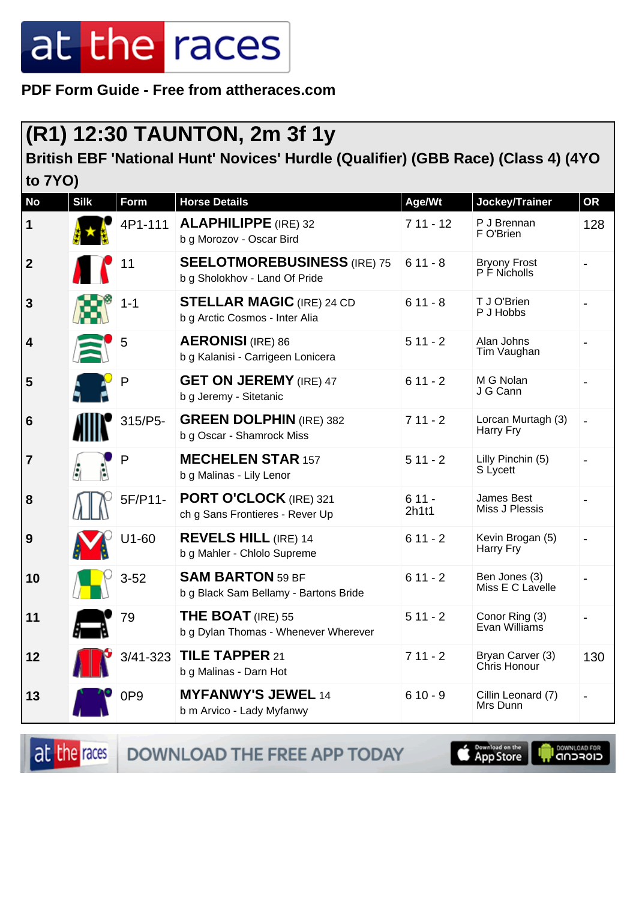**PDF Form Guide - Free from attheraces.com**

### **(R1) 12:30 TAUNTON, 2m 3f 1y**

**British EBF 'National Hunt' Novices' Hurdle (Qualifier) (GBB Race) (Class 4) (4YO to 7YO)**

| <b>No</b>        | <b>Silk</b> | <b>Form</b>     | <b>Horse Details</b>                                                | Age/Wt           | Jockey/Trainer                      | OR                           |
|------------------|-------------|-----------------|---------------------------------------------------------------------|------------------|-------------------------------------|------------------------------|
| $\mathbf 1$      |             | 4P1-111         | <b>ALAPHILIPPE</b> (IRE) 32<br>b g Morozov - Oscar Bird             | $711 - 12$       | P J Brennan<br>F O'Brien            | 128                          |
| $\boldsymbol{2}$ |             | 11              | <b>SEELOTMOREBUSINESS (IRE) 75</b><br>b g Sholokhov - Land Of Pride | $611 - 8$        | <b>Bryony Frost</b><br>P F Nicholls |                              |
| $\mathbf{3}$     |             | $1 - 1$         | <b>STELLAR MAGIC (IRE) 24 CD</b><br>b g Arctic Cosmos - Inter Alia  | $611 - 8$        | T J O'Brien<br>P J Hobbs            |                              |
| 4                |             | 5               | <b>AERONISI</b> (IRE) 86<br>b g Kalanisi - Carrigeen Lonicera       | $511 - 2$        | Alan Johns<br>Tim Vaughan           |                              |
| 5                |             | P               | <b>GET ON JEREMY</b> (IRE) 47<br>b g Jeremy - Sitetanic             | $611 - 2$        | M G Nolan<br>J G Cann               |                              |
| 6                |             | 315/P5-         | <b>GREEN DOLPHIN (IRE) 382</b><br>b g Oscar - Shamrock Miss         | $711 - 2$        | Lorcan Murtagh (3)<br>Harry Fry     | $\overline{\phantom{a}}$     |
| $\overline{7}$   |             | P               | <b>MECHELEN STAR 157</b><br>b g Malinas - Lily Lenor                | $511 - 2$        | Lilly Pinchin (5)<br>S Lycett       |                              |
| 8                |             | 5F/P11-         | PORT O'CLOCK (IRE) 321<br>ch g Sans Frontieres - Rever Up           | $611 -$<br>2h1t1 | James Best<br>Miss J Plessis        |                              |
| 9                |             | $U1-60$         | <b>REVELS HILL (IRE) 14</b><br>b g Mahler - Chlolo Supreme          | $611 - 2$        | Kevin Brogan (5)<br>Harry Fry       |                              |
| 10               |             | $3 - 52$        | <b>SAM BARTON 59 BF</b><br>b g Black Sam Bellamy - Bartons Bride    | $611 - 2$        | Ben Jones (3)<br>Miss E C Lavelle   |                              |
| 11               |             | 79              | <b>THE BOAT (IRE) 55</b><br>b g Dylan Thomas - Whenever Wherever    | $511 - 2$        | Conor Ring (3)<br>Evan Williams     |                              |
| 12               |             | 3/41-323        | <b>TILE TAPPER 21</b><br>b g Malinas - Darn Hot                     | $711 - 2$        | Bryan Carver (3)<br>Chris Honour    | 130                          |
| 13               |             | 0P <sub>9</sub> | <b>MYFANWY'S JEWEL 14</b><br>b m Arvico - Lady Myfanwy              | $610 - 9$        | Cillin Leonard (7)<br>Mrs Dunn      | $\qquad \qquad \blacksquare$ |

at the races

DOWNLOAD THE FREE APP TODAY

Download on the

**DOWNLGAD FOR**<br>CIOFCND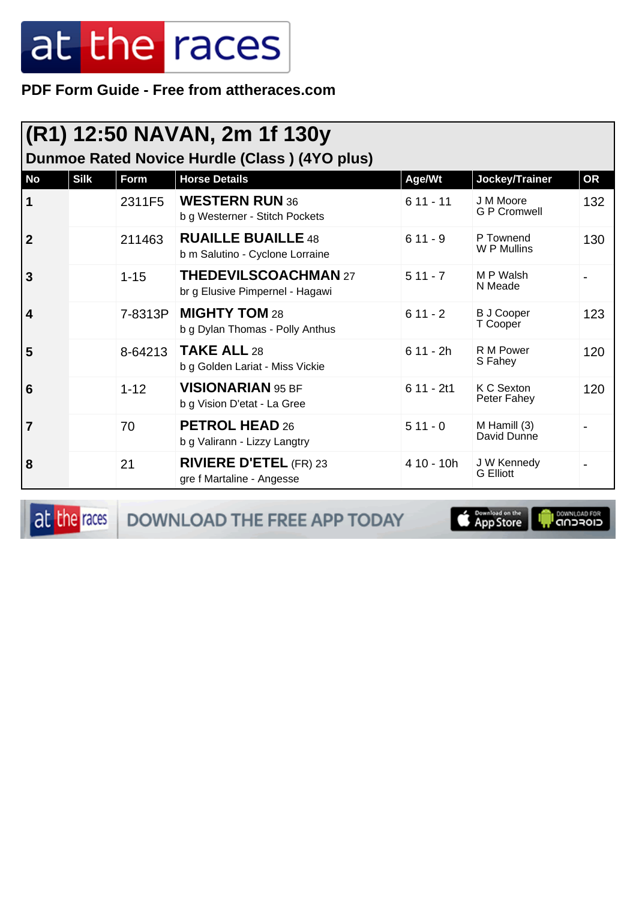PDF Form Guide - Free from attheraces.com

| (R1) 12:50 NAVAN, 2m 1f 130y<br>Dunmoe Rated Novice Hurdle (Class) (4YO plus) |             |          |                                                                |             |                                  |           |  |
|-------------------------------------------------------------------------------|-------------|----------|----------------------------------------------------------------|-------------|----------------------------------|-----------|--|
| <b>No</b>                                                                     | <b>Silk</b> | Form     | <b>Horse Details</b>                                           | Age/Wt      | Jockey/Trainer                   | <b>OR</b> |  |
| 1                                                                             |             | 2311F5   | <b>WESTERN RUN 36</b><br>b g Westerner - Stitch Pockets        | $611 - 11$  | J M Moore<br><b>G P Cromwell</b> | 132       |  |
| $\overline{2}$                                                                |             | 211463   | <b>RUAILLE BUAILLE 48</b><br>b m Salutino - Cyclone Lorraine   | $611 - 9$   | P Townend<br>W P Mullins         | 130       |  |
| 3                                                                             |             | $1 - 15$ | <b>THEDEVILSCOACHMAN 27</b><br>br g Elusive Pimpernel - Hagawi | $511 - 7$   | M P Walsh<br>N Meade             |           |  |
| 4                                                                             |             | 7-8313P  | <b>MIGHTY TOM 28</b><br>b g Dylan Thomas - Polly Anthus        | $611 - 2$   | <b>B J Cooper</b><br>T Cooper    | 123       |  |
| 5                                                                             |             | 8-64213  | <b>TAKE ALL 28</b><br>b g Golden Lariat - Miss Vickie          | $611 - 2h$  | R M Power<br>S Fahey             | 120       |  |
| 6                                                                             |             | $1 - 12$ | <b>VISIONARIAN 95 BF</b><br>b g Vision D'etat - La Gree        | $611 - 2t1$ | K C Sexton<br>Peter Fahey        | 120       |  |
| 7                                                                             |             | 70       | <b>PETROL HEAD 26</b><br>b g Valirann - Lizzy Langtry          | $511 - 0$   | M Hamill (3)<br>David Dunne      |           |  |
| 8                                                                             |             | 21       | <b>RIVIERE D'ETEL (FR) 23</b><br>gre f Martaline - Angesse     | 4 10 - 10h  | J W Kennedy<br><b>G</b> Elliott  |           |  |

at the races

DOWNLOAD THE FREE APP TODAY

**S** Download on the T

il DOWNLOAD FOR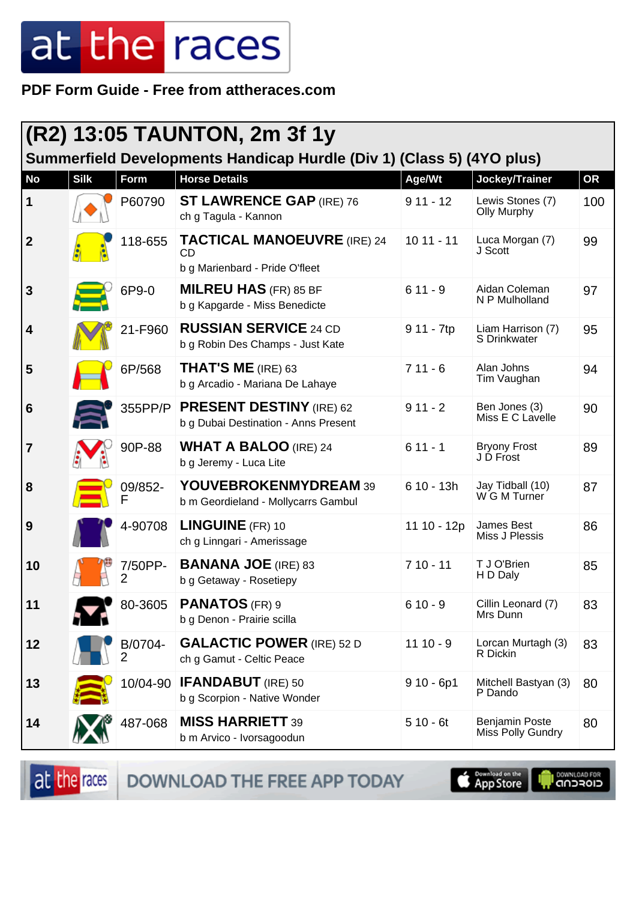**PDF Form Guide - Free from attheraces.com**

| (R2) 13:05 TAUNTON, 2m 3f 1y<br>Summerfield Developments Handicap Hurdle (Div 1) (Class 5) (4YO plus) |             |                           |                                                                            |             |                                            |           |  |
|-------------------------------------------------------------------------------------------------------|-------------|---------------------------|----------------------------------------------------------------------------|-------------|--------------------------------------------|-----------|--|
| <b>No</b>                                                                                             | <b>Silk</b> | Form                      | <b>Horse Details</b>                                                       | Age/Wt      | Jockey/Trainer                             | <b>OR</b> |  |
| $\mathbf 1$                                                                                           |             | P60790                    | <b>ST LAWRENCE GAP (IRE) 76</b><br>ch g Tagula - Kannon                    | $911 - 12$  | Lewis Stones (7)<br><b>Olly Murphy</b>     | 100       |  |
| $\boldsymbol{2}$                                                                                      |             | 118-655                   | <b>TACTICAL MANOEUVRE (IRE) 24</b><br>CD<br>b g Marienbard - Pride O'fleet | $1011 - 11$ | Luca Morgan (7)<br>J Scott                 | 99        |  |
| $\mathbf{3}$                                                                                          |             | 6P9-0                     | <b>MILREU HAS</b> (FR) 85 BF<br>b g Kapgarde - Miss Benedicte              | $611 - 9$   | Aidan Coleman<br>N P Mulholland            | 97        |  |
| 4                                                                                                     |             | 21-F960                   | <b>RUSSIAN SERVICE 24 CD</b><br>b g Robin Des Champs - Just Kate           | 9 11 - 7tp  | Liam Harrison (7)<br>S Drinkwater          | 95        |  |
| 5                                                                                                     |             | 6P/568                    | THAT'S ME (IRE) 63<br>b g Arcadio - Mariana De Lahaye                      | $711 - 6$   | Alan Johns<br>Tim Vaughan                  | 94        |  |
| 6                                                                                                     |             | 355PP/P                   | <b>PRESENT DESTINY</b> (IRE) 62<br>b g Dubai Destination - Anns Present    | $911 - 2$   | Ben Jones (3)<br>Miss E C Lavelle          | 90        |  |
| 7                                                                                                     |             | 90P-88                    | <b>WHAT A BALOO (IRE) 24</b><br>b g Jeremy - Luca Lite                     | $611 - 1$   | <b>Bryony Frost</b><br>J D Frost           | 89        |  |
| 8                                                                                                     |             | 09/852-<br>F              | YOUVEBROKENMYDREAM 39<br>b m Geordieland - Mollycarrs Gambul               | $610 - 13h$ | Jay Tidball (10)<br>W G M Turner           | 87        |  |
| 9                                                                                                     |             | 4-90708                   | <b>LINGUINE</b> (FR) 10<br>ch g Linngari - Amerissage                      | 11 10 - 12p | James Best<br>Miss J Plessis               | 86        |  |
| 10                                                                                                    |             | 7/50PP-<br>2              | <b>BANANA JOE</b> (IRE) 83<br>b g Getaway - Rosetiepy                      | $710 - 11$  | T J O'Brien<br>H D Daly                    | 85        |  |
| 11                                                                                                    |             | 80-3605                   | <b>PANATOS</b> (FR) 9<br>b g Denon - Prairie scilla                        | $610 - 9$   | Cillin Leonard (7)<br>Mrs Dunn             | 83        |  |
| 12                                                                                                    |             | B/0704-<br>$\overline{2}$ | <b>GALACTIC POWER</b> (IRE) 52 D<br>ch g Gamut - Celtic Peace              | $1110 - 9$  | Lorcan Murtagh (3)<br>R Dickin             | 83        |  |
| 13                                                                                                    |             | 10/04-90                  | <b>IFANDABUT</b> (IRE) 50<br>b g Scorpion - Native Wonder                  | $910 - 6p1$ | Mitchell Bastyan (3)<br>P Dando            | 80        |  |
| 14                                                                                                    |             | 487-068                   | <b>MISS HARRIETT 39</b><br>b m Arvico - Ivorsagoodun                       | $510 - 6t$  | <b>Benjamin Poste</b><br>Miss Polly Gundry | 80        |  |

at the races

DOWNLOAD THE FREE APP TODAY

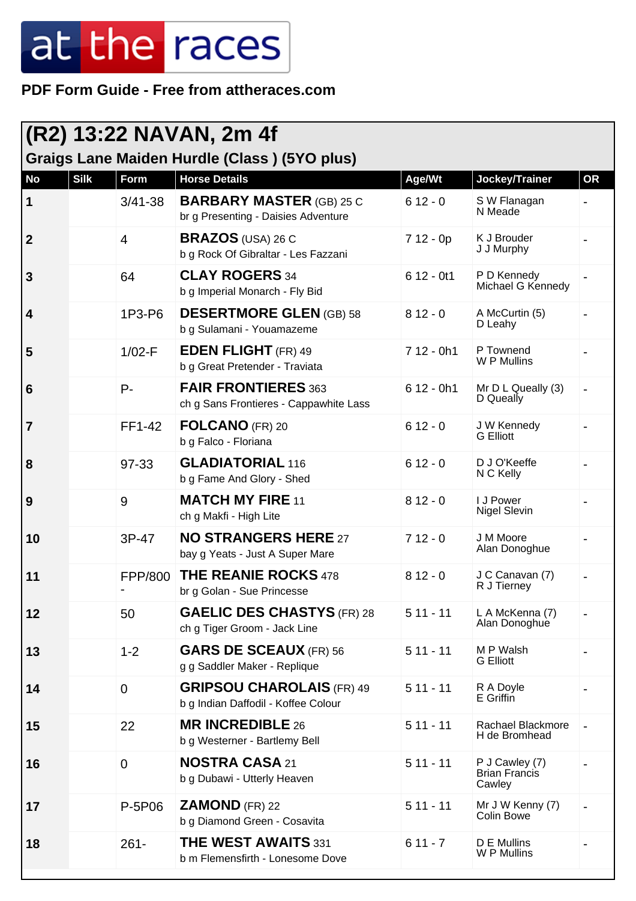#### **PDF Form Guide - Free from attheraces.com**

| (R2) 13:22 NAVAN, 2m 4f                             |             |                |                                                                         |             |                                                  |           |  |
|-----------------------------------------------------|-------------|----------------|-------------------------------------------------------------------------|-------------|--------------------------------------------------|-----------|--|
| <b>Graigs Lane Maiden Hurdle (Class) (5YO plus)</b> |             |                |                                                                         |             |                                                  |           |  |
| <b>No</b>                                           | <b>Silk</b> | Form           | <b>Horse Details</b>                                                    | Age/Wt      | Jockey/Trainer                                   | <b>OR</b> |  |
| 1                                                   |             | $3/41 - 38$    | <b>BARBARY MASTER (GB) 25 C</b><br>br g Presenting - Daisies Adventure  | $612 - 0$   | S W Flanagan<br>N Meade                          |           |  |
| $\boldsymbol{2}$                                    |             | $\overline{4}$ | <b>BRAZOS</b> (USA) 26 C<br>b g Rock Of Gibraltar - Les Fazzani         | $712 - 0p$  | K J Brouder<br>J J Murphy                        |           |  |
| 3                                                   |             | 64             | <b>CLAY ROGERS 34</b><br>b g Imperial Monarch - Fly Bid                 | $612 - 0t1$ | P D Kennedy<br>Michael G Kennedy                 |           |  |
| 4                                                   |             | 1P3-P6         | <b>DESERTMORE GLEN (GB) 58</b><br>b g Sulamani - Youamazeme             | $812 - 0$   | A McCurtin (5)<br>D Leahy                        |           |  |
| 5                                                   |             | $1/02-F$       | <b>EDEN FLIGHT</b> (FR) 49<br>b g Great Pretender - Traviata            | 7 12 - 0h1  | P Townend<br>W P Mullins                         |           |  |
| 6                                                   |             | $P -$          | <b>FAIR FRONTIERES 363</b><br>ch g Sans Frontieres - Cappawhite Lass    | $612 - 0h1$ | Mr D L Queally (3)<br>D Queally                  |           |  |
| $\overline{7}$                                      |             | FF1-42         | <b>FOLCANO (FR) 20</b><br>b g Falco - Floriana                          | $612 - 0$   | J W Kennedy<br><b>G</b> Elliott                  |           |  |
| 8                                                   |             | 97-33          | <b>GLADIATORIAL 116</b><br>b g Fame And Glory - Shed                    | $612 - 0$   | D J O'Keeffe<br>N C Kelly                        |           |  |
| 9                                                   |             | 9              | <b>MATCH MY FIRE 11</b><br>ch g Makfi - High Lite                       | $812 - 0$   | I J Power<br><b>Nigel Slevin</b>                 |           |  |
| 10                                                  |             | 3P-47          | <b>NO STRANGERS HERE 27</b><br>bay g Yeats - Just A Super Mare          | $712 - 0$   | J M Moore<br>Alan Donoghue                       |           |  |
| 11                                                  |             | <b>FPP/800</b> | <b>THE REANIE ROCKS 478</b><br>br g Golan - Sue Princesse               | $812 - 0$   | J C Canavan (7)<br>R J Tierney                   |           |  |
| 12                                                  |             | 50             | <b>GAELIC DES CHASTYS (FR) 28</b><br>ch g Tiger Groom - Jack Line       | $511 - 11$  | L A McKenna (7)<br>Alan Donoghue                 |           |  |
| 13                                                  |             | $1 - 2$        | <b>GARS DE SCEAUX (FR) 56</b><br>g g Saddler Maker - Replique           | $511 - 11$  | M P Walsh<br><b>G</b> Elliott                    |           |  |
| 14                                                  |             | $\mathbf 0$    | <b>GRIPSOU CHAROLAIS (FR) 49</b><br>b g Indian Daffodil - Koffee Colour | $511 - 11$  | R A Doyle<br>E Griffin                           |           |  |
| 15                                                  |             | 22             | <b>MR INCREDIBLE 26</b><br>b g Westerner - Bartlemy Bell                | $511 - 11$  | Rachael Blackmore<br>H de Bromhead               |           |  |
| 16                                                  |             | $\mathbf 0$    | <b>NOSTRA CASA 21</b><br>b g Dubawi - Utterly Heaven                    | $511 - 11$  | P J Cawley (7)<br><b>Brian Francis</b><br>Cawley |           |  |
| 17                                                  |             | P-5P06         | $ZAMOND$ (FR) 22<br>b g Diamond Green - Cosavita                        | $511 - 11$  | Mr J W Kenny (7)<br><b>Colin Bowe</b>            |           |  |
| 18                                                  |             | $261 -$        | <b>THE WEST AWAITS 331</b><br>b m Flemensfirth - Lonesome Dove          | $611 - 7$   | D E Mullins<br>W P Mullins                       |           |  |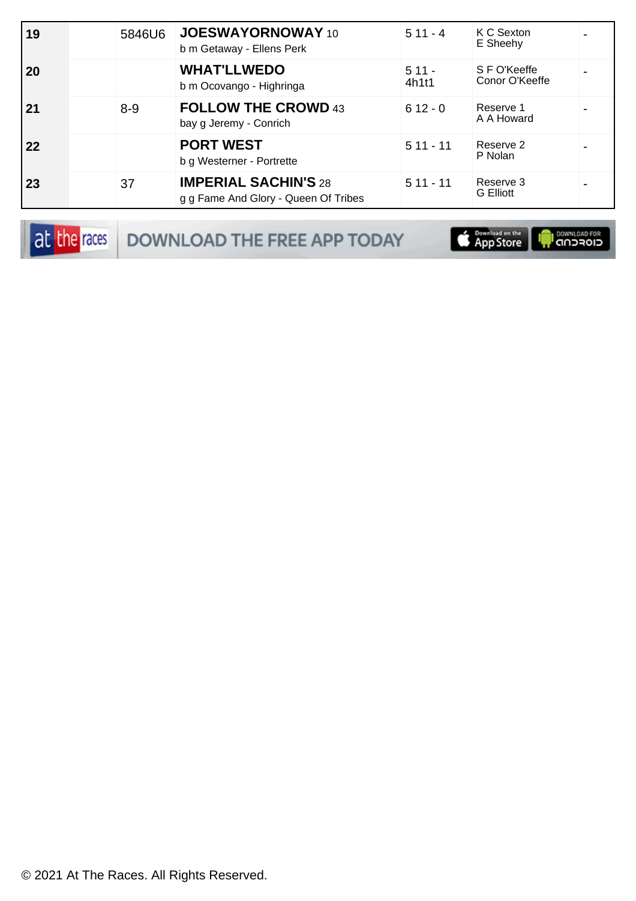| 19        | 5846U6  | <b>JOESWAYORNOWAY 10</b><br>b m Getaway - Ellens Perk               | $511 - 4$        | K C Sexton<br>E Sheehy         |  |
|-----------|---------|---------------------------------------------------------------------|------------------|--------------------------------|--|
| <b>20</b> |         | <b>WHAT'LLWEDO</b><br>b m Ocovango - Highringa                      | $511 -$<br>4h1t1 | S F O'Keeffe<br>Conor O'Keeffe |  |
| 21        | $8 - 9$ | <b>FOLLOW THE CROWD 43</b><br>bay g Jeremy - Conrich                | $612 - 0$        | Reserve 1<br>A A Howard        |  |
| 22        |         | <b>PORT WEST</b><br>b g Westerner - Portrette                       | $511 - 11$       | Reserve 2<br>P Nolan           |  |
| 23        | 37      | <b>IMPERIAL SACHIN'S 28</b><br>g g Fame And Glory - Queen Of Tribes | $511 - 11$       | Reserve 3<br><b>G</b> Elliott  |  |

DOWNLOAD THE FREE APP TODAY

App Store

**SOMNLOAD FOR**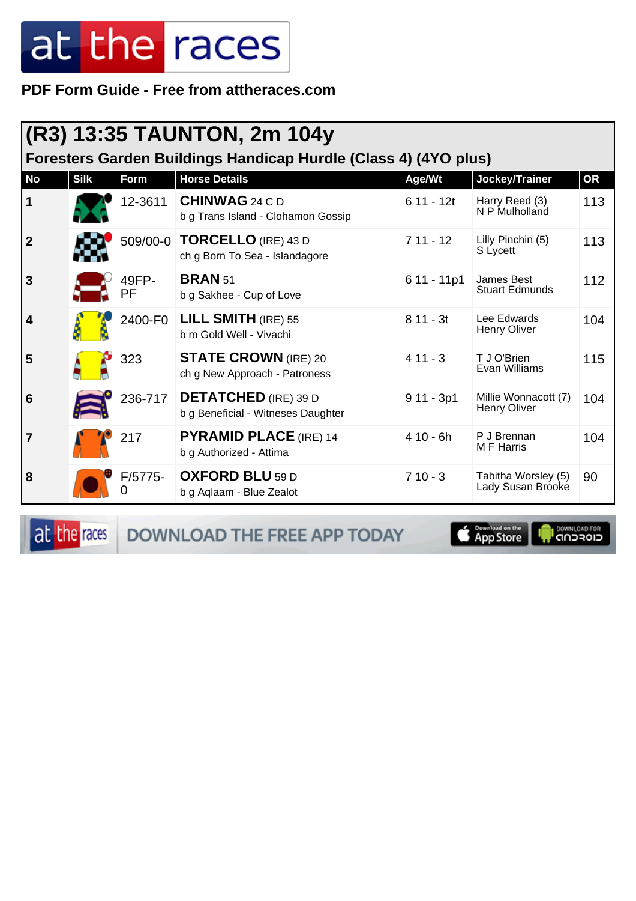PDF Form Guide - Free from attheraces.com

|                                                                 | (R3) 13:35 TAUNTON, 2m 104y |                 |                                                                                     |                       |                                                    |                  |  |  |
|-----------------------------------------------------------------|-----------------------------|-----------------|-------------------------------------------------------------------------------------|-----------------------|----------------------------------------------------|------------------|--|--|
| Foresters Garden Buildings Handicap Hurdle (Class 4) (4YO plus) |                             |                 |                                                                                     |                       |                                                    |                  |  |  |
| <b>No</b><br>1                                                  | <b>Silk</b>                 | Form<br>12-3611 | <b>Horse Details</b><br><b>CHINWAG 24 C D</b><br>b g Trans Island - Clohamon Gossip | Age/Wt<br>$611 - 12t$ | Jockey/Trainer<br>Harry Reed (3)<br>N P Mulholland | <b>OR</b><br>113 |  |  |
| $\boldsymbol{2}$                                                |                             |                 | 509/00-0 <b>TORCELLO</b> (IRE) 43 D<br>ch g Born To Sea - Islandagore               | $711 - 12$            | Lilly Pinchin (5)<br>S Lycett                      | 113              |  |  |
| 3                                                               |                             | 49FP-<br>PF     | <b>BRAN</b> 51<br>b g Sakhee - Cup of Love                                          | $611 - 11p1$          | James Best<br><b>Stuart Edmunds</b>                | 112              |  |  |
| 4                                                               |                             | 2400-F0         | <b>LILL SMITH (IRE) 55</b><br>b m Gold Well - Vivachi                               | $811 - 3t$            | Lee Edwards<br>Henry Oliver                        | 104              |  |  |
| 5                                                               |                             | 323             | <b>STATE CROWN</b> (IRE) 20<br>ch g New Approach - Patroness                        | $411 - 3$             | T J O'Brien<br>Evan Williams                       | 115              |  |  |
| 6                                                               |                             | 236-717         | <b>DETATCHED</b> (IRE) 39 D<br>b g Beneficial - Witneses Daughter                   | $911 - 3p1$           | Millie Wonnacott (7)<br>Henry Oliver               | 104              |  |  |
| 7                                                               |                             | 217             | <b>PYRAMID PLACE</b> (IRE) 14<br>b g Authorized - Attima                            | $410 - 6h$            | P J Brennan<br>M F Harris                          | 104              |  |  |
| 8                                                               |                             | F/5775-         | <b>OXFORD BLU 59 D</b><br>b g Aglaam - Blue Zealot                                  | $710 - 3$             | Tabitha Worsley (5)<br>Lady Susan Brooke           | 90               |  |  |

at the races

DOWNLOAD THE FREE APP TODAY



**I** DOWNLOAD FOR